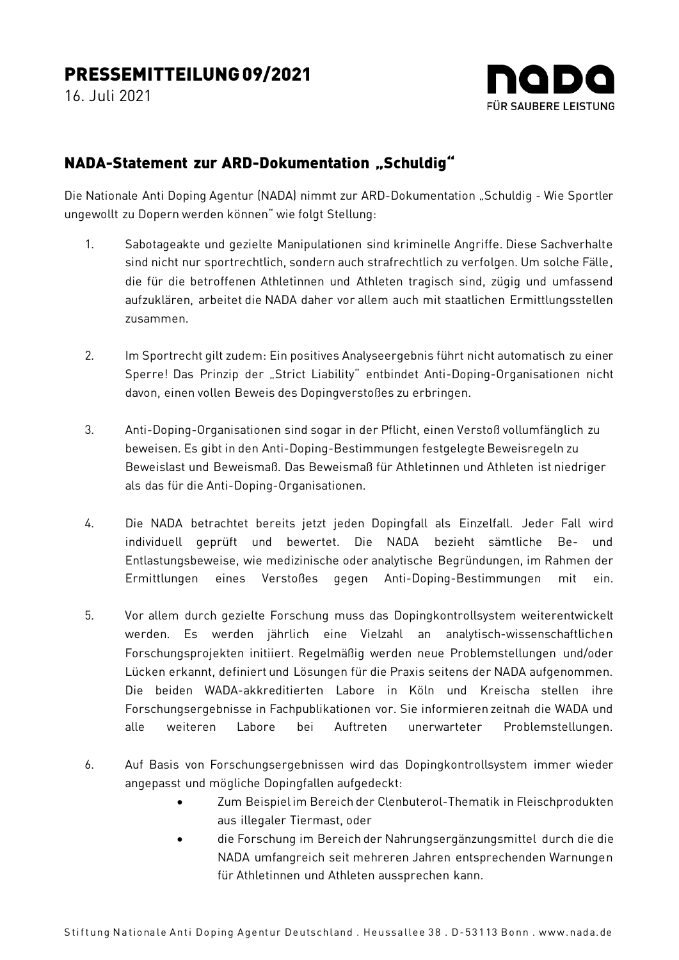## PRESSEMITTEILUNG09/2021

16. Juli 2021



## NADA-Statement zur ARD-Dokumentation "Schuldig"

Die Nationale Anti Doping Agentur (NADA) nimmt zur ARD-Dokumentation "Schuldig - Wie Sportler ungewollt zu Dopern werden können" wie folgt Stellung:

- 1. Sabotageakte und gezielte Manipulationen sind kriminelle Angriffe. Diese Sachverhalte sind nicht nur sportrechtlich, sondern auch strafrechtlich zu verfolgen. Um solche Fälle, die für die betroffenen Athletinnen und Athleten tragisch sind, zügig und umfassend aufzuklären, arbeitet die NADA daher vor allem auch mit staatlichen Ermittlungsstellen zusammen.
- 2. Im Sportrecht gilt zudem: Ein positives Analyseergebnis führt nicht automatisch zu einer Sperre! Das Prinzip der "Strict Liability" entbindet Anti-Doping-Organisationen nicht davon, einen vollen Beweis des Dopingverstoßes zu erbringen.
- 3. Anti-Doping-Organisationen sind sogar in der Pflicht, einen Verstoß vollumfänglich zu beweisen. Es gibt in den Anti-Doping-Bestimmungen festgelegte Beweisregeln zu Beweislast und Beweismaß. Das Beweismaß für Athletinnen und Athleten ist niedriger als das für die Anti-Doping-Organisationen.
- 4. Die NADA betrachtet bereits jetzt jeden Dopingfall als Einzelfall. Jeder Fall wird individuell geprüft und bewertet. Die NADA bezieht sämtliche Be- und Entlastungsbeweise, wie medizinische oder analytische Begründungen, im Rahmen der Ermittlungen eines Verstoßes gegen Anti-Doping-Bestimmungen mit ein.
- 5. Vor allem durch gezielte Forschung muss das Dopingkontrollsystem weiterentwickelt werden. Es werden jährlich eine Vielzahl an analytisch-wissenschaftlichen Forschungsprojekten initiiert. Regelmäßig werden neue Problemstellungen und/oder Lücken erkannt, definiert und Lösungen für die Praxis seitens der NADA aufgenommen. Die beiden WADA-akkreditierten Labore in Köln und Kreischa stellen ihre Forschungsergebnisse in Fachpublikationen vor. Sie informieren zeitnah die WADA und alle weiteren Labore bei Auftreten unerwarteter Problemstellungen.
- 6. Auf Basis von Forschungsergebnissen wird das Dopingkontrollsystem immer wieder angepasst und mögliche Dopingfallen aufgedeckt:
	- Zum Beispiel im Bereich der Clenbuterol-Thematik in Fleischprodukten aus illegaler Tiermast, oder
	- die Forschung im Bereich der Nahrungsergänzungsmittel durch die die NADA umfangreich seit mehreren Jahren entsprechenden Warnungen für Athletinnen und Athleten aussprechen kann.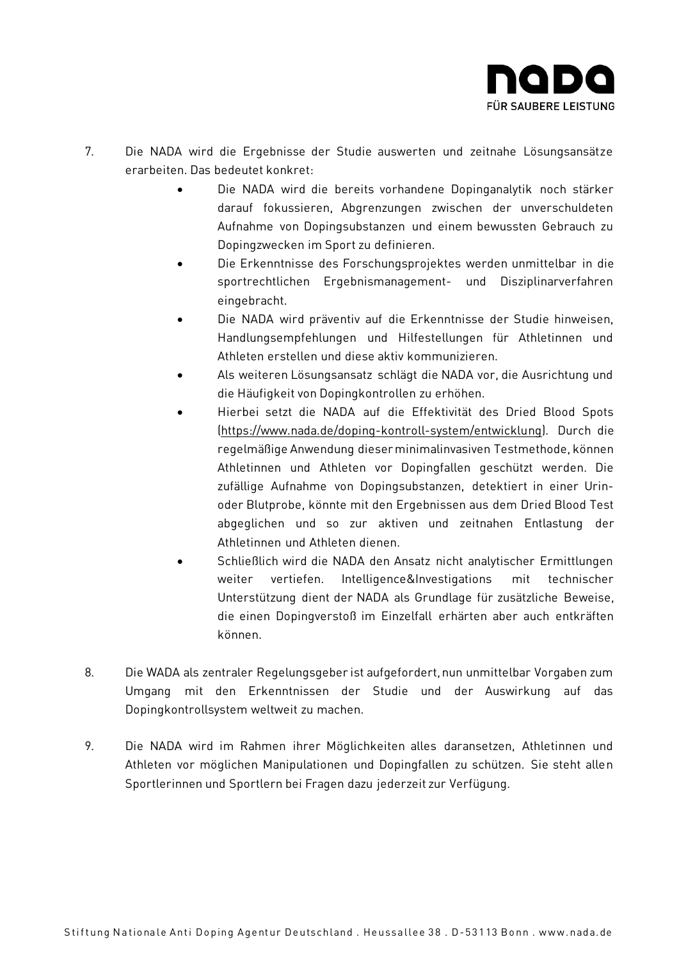

- 7. Die NADA wird die Ergebnisse der Studie auswerten und zeitnahe Lösungsansätze erarbeiten. Das bedeutet konkret:
	- Die NADA wird die bereits vorhandene Dopinganalytik noch stärker darauf fokussieren, Abgrenzungen zwischen der unverschuldeten Aufnahme von Dopingsubstanzen und einem bewussten Gebrauch zu Dopingzwecken im Sport zu definieren.
	- Die Erkenntnisse des Forschungsprojektes werden unmittelbar in die sportrechtlichen Ergebnismanagement- und Disziplinarverfahren eingebracht.
	- Die NADA wird präventiv auf die Erkenntnisse der Studie hinweisen, Handlungsempfehlungen und Hilfestellungen für Athletinnen und Athleten erstellen und diese aktiv kommunizieren.
	- Als weiteren Lösungsansatz schlägt die NADA vor, die Ausrichtung und die Häufigkeit von Dopingkontrollen zu erhöhen.
	- Hierbei setzt die NADA auf die Effektivität des Dried Blood Spots [\(https://www.nada.de/doping-kontroll-system/entwicklung\).](https://www.nada.de/doping-kontroll-system/entwicklung) Durch die regelmäßige Anwendung dieser minimalinvasiven Testmethode, können Athletinnen und Athleten vor Dopingfallen geschützt werden. Die zufällige Aufnahme von Dopingsubstanzen, detektiert in einer Urinoder Blutprobe, könnte mit den Ergebnissen aus dem Dried Blood Test abgeglichen und so zur aktiven und zeitnahen Entlastung der Athletinnen und Athleten dienen.
	- Schließlich wird die NADA den Ansatz nicht analytischer Ermittlungen weiter vertiefen. Intelligence&Investigations mit technischer Unterstützung dient der NADA als Grundlage für zusätzliche Beweise, die einen Dopingverstoß im Einzelfall erhärten aber auch entkräften können.
- 8. Die WADA als zentraler Regelungsgeber ist aufgefordert, nun unmittelbar Vorgaben zum Umgang mit den Erkenntnissen der Studie und der Auswirkung auf das Dopingkontrollsystem weltweit zu machen.
- 9. Die NADA wird im Rahmen ihrer Möglichkeiten alles daransetzen, Athletinnen und Athleten vor möglichen Manipulationen und Dopingfallen zu schützen. Sie steht allen Sportlerinnen und Sportlern bei Fragen dazu jederzeit zur Verfügung.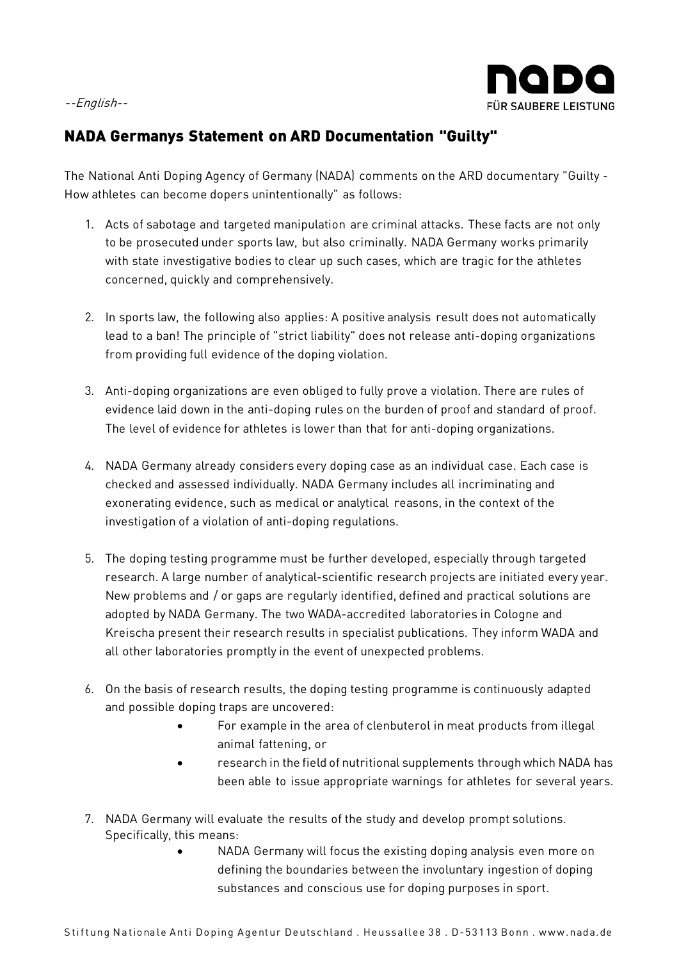## --English--



## NADA Germanys Statement on ARD Documentation "Guilty"

The National Anti Doping Agency of Germany (NADA) comments on the ARD documentary "Guilty - How athletes can become dopers unintentionally" as follows:

- 1. Acts of sabotage and targeted manipulation are criminal attacks. These facts are not only to be prosecuted under sports law, but also criminally. NADA Germany works primarily with state investigative bodies to clear up such cases, which are tragic for the athletes concerned, quickly and comprehensively.
- 2. In sports law, the following also applies: A positive analysis result does not automatically lead to a ban! The principle of "strict liability" does not release anti-doping organizations from providing full evidence of the doping violation.
- 3. Anti-doping organizations are even obliged to fully prove a violation. There are rules of evidence laid down in the anti-doping rules on the burden of proof and standard of proof. The level of evidence for athletes is lower than that for anti-doping organizations.
- 4. NADA Germany already considers every doping case as an individual case. Each case is checked and assessed individually. NADA Germany includes all incriminating and exonerating evidence, such as medical or analytical reasons, in the context of the investigation of a violation of anti-doping regulations.
- 5. The doping testing programme must be further developed, especially through targeted research. A large number of analytical-scientific research projects are initiated every year. New problems and / or gaps are regularly identified, defined and practical solutions are adopted by NADA Germany. The two WADA-accredited laboratories in Cologne and Kreischa present their research results in specialist publications. They inform WADA and all other laboratories promptly in the event of unexpected problems.
- 6. On the basis of research results, the doping testing programme is continuously adapted and possible doping traps are uncovered:
	- For example in the area of clenbuterol in meat products from illegal animal fattening, or
	- research in the field of nutritional supplements through which NADA has been able to issue appropriate warnings for athletes for several years.
- 7. NADA Germany will evaluate the results of the study and develop prompt solutions. Specifically, this means:
	- NADA Germany will focus the existing doping analysis even more on defining the boundaries between the involuntary ingestion of doping substances and conscious use for doping purposes in sport.